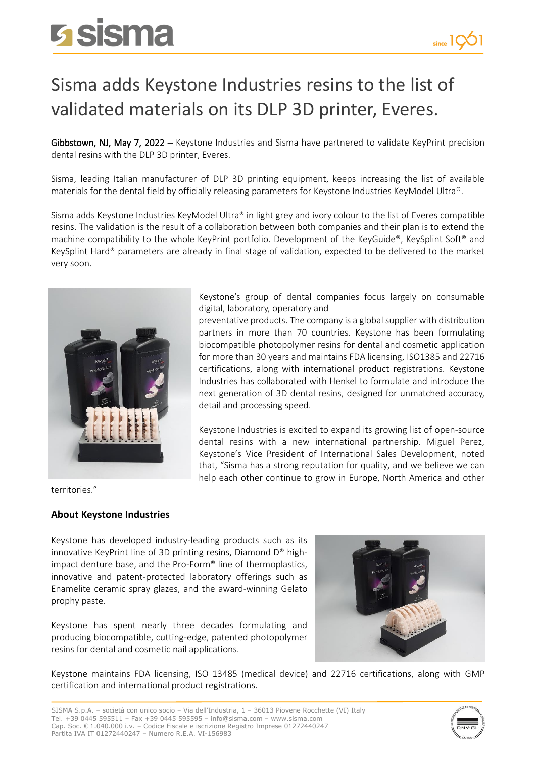## **Sisma**

## Sisma adds Keystone Industries resins to the list of validated materials on its DLP 3D printer, Everes.

Gibbstown, NJ, May 7, 2022 - Keystone Industries and Sisma have partnered to validate KeyPrint precision dental resins with the DLP 3D printer, Everes.

Sisma, leading Italian manufacturer of DLP 3D printing equipment, keeps increasing the list of available materials for the dental field by officially releasing parameters for Keystone Industries KeyModel Ultra®.

Sisma adds Keystone Industries KeyModel Ultra® in light grey and ivory colour to the list of Everes compatible resins. The validation is the result of a collaboration between both companies and their plan is to extend the machine compatibility to the whole KeyPrint portfolio. Development of the KeyGuide®, KeySplint Soft® and KeySplint Hard® parameters are already in final stage of validation, expected to be delivered to the market very soon.



territories."

## **About Keystone Industries**

Keystone has developed industry-leading products such as its innovative KeyPrint line of 3D printing resins, Diamond D® highimpact denture base, and the Pro-Form® line of thermoplastics, innovative and patent-protected laboratory offerings such as Enamelite ceramic spray glazes, and the award-winning Gelato prophy paste.

Keystone has spent nearly three decades formulating and producing biocompatible, cutting-edge, patented photopolymer resins for dental and cosmetic nail applications.



Keystone maintains FDA licensing, ISO 13485 (medical device) and 22716 certifications, along with GMP certification and international product registrations.



Keystone's group of dental companies focus largely on consumable digital, laboratory, operatory and

preventative products. The company is a global supplier with distribution partners in more than 70 countries. Keystone has been formulating biocompatible photopolymer resins for dental and cosmetic application for more than 30 years and maintains FDA licensing, ISO1385 and 22716 certifications, along with international product registrations. Keystone Industries has collaborated with Henkel to formulate and introduce the next generation of 3D dental resins, designed for unmatched accuracy, detail and processing speed.

Keystone Industries is excited to expand its growing list of open-source dental resins with a new international partnership. Miguel Perez, Keystone's Vice President of International Sales Development, noted that, "Sisma has a strong reputation for quality, and we believe we can help each other continue to grow in Europe, North America and other